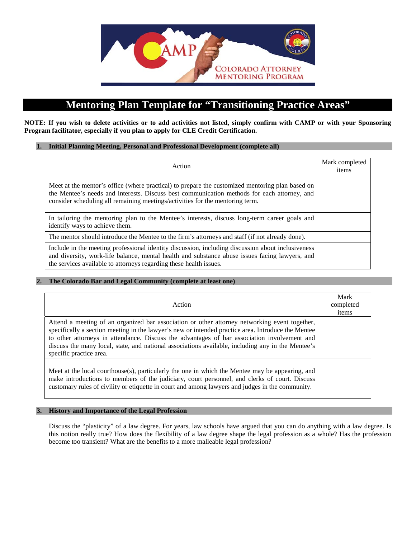

# **Mentoring Plan Template for "Transitioning Practice Areas"**

**NOTE: If you wish to delete activities or to add activities not listed, simply confirm with CAMP or with your Sponsoring Program facilitator, especially if you plan to apply for CLE Credit Certification.**

#### **1. Initial Planning Meeting, Personal and Professional Development (complete all)**

| Action                                                                                                                                                                                                                                                                          | Mark completed<br>items |
|---------------------------------------------------------------------------------------------------------------------------------------------------------------------------------------------------------------------------------------------------------------------------------|-------------------------|
| Meet at the mentor's office (where practical) to prepare the customized mentoring plan based on<br>the Mentee's needs and interests. Discuss best communication methods for each attorney, and<br>consider scheduling all remaining meetings/activities for the mentoring term. |                         |
| In tailoring the mentoring plan to the Mentee's interests, discuss long-term career goals and<br>identify ways to achieve them.                                                                                                                                                 |                         |
| The mentor should introduce the Mentee to the firm's attorneys and staff (if not already done).                                                                                                                                                                                 |                         |
| Include in the meeting professional identity discussion, including discussion about inclusiveness<br>and diversity, work-life balance, mental health and substance abuse issues facing lawyers, and<br>the services available to attorneys regarding these health issues.       |                         |

#### **2. The Colorado Bar and Legal Community (complete at least one)**

| Action                                                                                                                                                                                                                                                                                                                                                                                                                             | Mark<br>completed<br>items |
|------------------------------------------------------------------------------------------------------------------------------------------------------------------------------------------------------------------------------------------------------------------------------------------------------------------------------------------------------------------------------------------------------------------------------------|----------------------------|
| Attend a meeting of an organized bar association or other attorney networking event together,<br>specifically a section meeting in the lawyer's new or intended practice area. Introduce the Mentee<br>to other attorneys in attendance. Discuss the advantages of bar association involvement and<br>discuss the many local, state, and national associations available, including any in the Mentee's<br>specific practice area. |                            |
| Meet at the local courthouse(s), particularly the one in which the Mentee may be appearing, and<br>make introductions to members of the judiciary, court personnel, and clerks of court. Discuss<br>customary rules of civility or etiquette in court and among lawyers and judges in the community.                                                                                                                               |                            |

#### **3. History and Importance of the Legal Profession**

Discuss the "plasticity" of a law degree. For years, law schools have argued that you can do anything with a law degree. Is this notion really true? How does the flexibility of a law degree shape the legal profession as a whole? Has the profession become too transient? What are the benefits to a more malleable legal profession?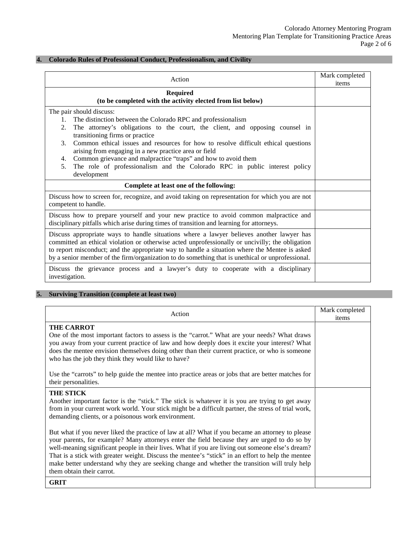#### **4. Colorado Rules of Professional Conduct, Professionalism, and Civility**

| Action                                                                                                                                                                                                                                                                                                                                                                                                                                                                                                                                                              | Mark completed<br>items |
|---------------------------------------------------------------------------------------------------------------------------------------------------------------------------------------------------------------------------------------------------------------------------------------------------------------------------------------------------------------------------------------------------------------------------------------------------------------------------------------------------------------------------------------------------------------------|-------------------------|
| <b>Required</b><br>(to be completed with the activity elected from list below)                                                                                                                                                                                                                                                                                                                                                                                                                                                                                      |                         |
| The pair should discuss:<br>The distinction between the Colorado RPC and professionalism<br>1.<br>2.<br>The attorney's obligations to the court, the client, and opposing counsel in<br>transitioning firms or practice<br>Common ethical issues and resources for how to resolve difficult ethical questions<br>3 <sub>1</sub><br>arising from engaging in a new practice area or field<br>Common grievance and malpractice "traps" and how to avoid them<br>4.<br>The role of professionalism and the Colorado RPC in public interest policy<br>5.<br>development |                         |
| Complete at least one of the following:                                                                                                                                                                                                                                                                                                                                                                                                                                                                                                                             |                         |
| Discuss how to screen for, recognize, and avoid taking on representation for which you are not<br>competent to handle.                                                                                                                                                                                                                                                                                                                                                                                                                                              |                         |
| Discuss how to prepare yourself and your new practice to avoid common malpractice and<br>disciplinary pitfalls which arise during times of transition and learning for attorneys.                                                                                                                                                                                                                                                                                                                                                                                   |                         |
| Discuss appropriate ways to handle situations where a lawyer believes another lawyer has<br>committed an ethical violation or otherwise acted unprofessionally or uncivilly; the obligation<br>to report misconduct; and the appropriate way to handle a situation where the Mentee is asked<br>by a senior member of the firm/organization to do something that is unethical or unprofessional.                                                                                                                                                                    |                         |
| Discuss the grievance process and a lawyer's duty to cooperate with a disciplinary<br>investigation.                                                                                                                                                                                                                                                                                                                                                                                                                                                                |                         |

# **5. Surviving Transition (complete at least two)**

| Action                                                                                                                                                                                                                                                                                                                                                                                                                                                                                                                                  | Mark completed<br>items |
|-----------------------------------------------------------------------------------------------------------------------------------------------------------------------------------------------------------------------------------------------------------------------------------------------------------------------------------------------------------------------------------------------------------------------------------------------------------------------------------------------------------------------------------------|-------------------------|
| <b>THE CARROT</b><br>One of the most important factors to assess is the "carrot." What are your needs? What draws<br>you away from your current practice of law and how deeply does it excite your interest? What<br>does the mentee envision themselves doing other than their current practice, or who is someone<br>who has the job they think they would like to have?                                                                                                                                                              |                         |
| Use the "carrots" to help guide the mentee into practice areas or jobs that are better matches for<br>their personalities.                                                                                                                                                                                                                                                                                                                                                                                                              |                         |
| <b>THE STICK</b><br>Another important factor is the "stick." The stick is whatever it is you are trying to get away<br>from in your current work world. Your stick might be a difficult partner, the stress of trial work,<br>demanding clients, or a poisonous work environment.                                                                                                                                                                                                                                                       |                         |
| But what if you never liked the practice of law at all? What if you became an attorney to please<br>your parents, for example? Many attorneys enter the field because they are urged to do so by<br>well-meaning significant people in their lives. What if you are living out someone else's dream?<br>That is a stick with greater weight. Discuss the mentee's "stick" in an effort to help the mentee<br>make better understand why they are seeking change and whether the transition will truly help<br>them obtain their carrot. |                         |
| <b>GRIT</b>                                                                                                                                                                                                                                                                                                                                                                                                                                                                                                                             |                         |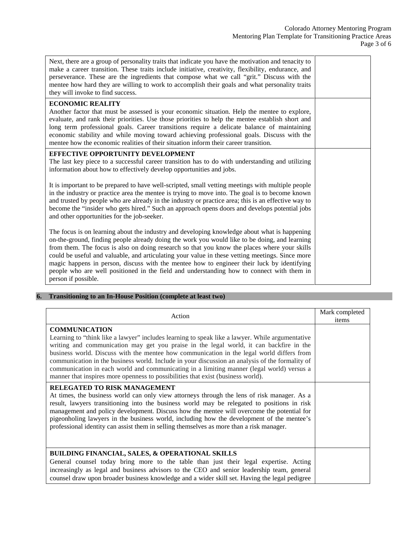| Next, there are a group of personality traits that indicate you have the motivation and tenacity to<br>make a career transition. These traits include initiative, creativity, flexibility, endurance, and<br>perseverance. These are the ingredients that compose what we call "grit." Discuss with the<br>mentee how hard they are willing to work to accomplish their goals and what personality traits<br>they will invoke to find success.                                                                                                                                                                     |  |
|--------------------------------------------------------------------------------------------------------------------------------------------------------------------------------------------------------------------------------------------------------------------------------------------------------------------------------------------------------------------------------------------------------------------------------------------------------------------------------------------------------------------------------------------------------------------------------------------------------------------|--|
| <b>ECONOMIC REALITY</b><br>Another factor that must be assessed is your economic situation. Help the mentee to explore,<br>evaluate, and rank their priorities. Use those priorities to help the mentee establish short and<br>long term professional goals. Career transitions require a delicate balance of maintaining<br>economic stability and while moving toward achieving professional goals. Discuss with the<br>mentee how the economic realities of their situation inform their career transition.                                                                                                     |  |
| EFFECTIVE OPPORTUNITY DEVELOPMENT<br>The last key piece to a successful career transition has to do with understanding and utilizing<br>information about how to effectively develop opportunities and jobs.                                                                                                                                                                                                                                                                                                                                                                                                       |  |
| It is important to be prepared to have well-scripted, small vetting meetings with multiple people<br>in the industry or practice area the mentee is trying to move into. The goal is to become known<br>and trusted by people who are already in the industry or practice area; this is an effective way to<br>become the "insider who gets hired." Such an approach opens doors and develops potential jobs<br>and other opportunities for the job-seeker.                                                                                                                                                        |  |
| The focus is on learning about the industry and developing knowledge about what is happening<br>on-the-ground, finding people already doing the work you would like to be doing, and learning<br>from them. The focus is also on doing research so that you know the places where your skills<br>could be useful and valuable, and articulating your value in these vetting meetings. Since more<br>magic happens in person, discuss with the mentee how to engineer their luck by identifying<br>people who are well positioned in the field and understanding how to connect with them in<br>person if possible. |  |

### **6. Transitioning to an In-House Position (complete at least two)**

| Action                                                                                                                                                                                                                                                                                                                                                                                                                                                                                                                                                                                              | Mark completed<br>items |
|-----------------------------------------------------------------------------------------------------------------------------------------------------------------------------------------------------------------------------------------------------------------------------------------------------------------------------------------------------------------------------------------------------------------------------------------------------------------------------------------------------------------------------------------------------------------------------------------------------|-------------------------|
| <b>COMMUNICATION</b><br>Learning to "think like a lawyer" includes learning to speak like a lawyer. While argumentative<br>writing and communication may get you praise in the legal world, it can backfire in the<br>business world. Discuss with the mentee how communication in the legal world differs from<br>communication in the business world. Include in your discussion an analysis of the formality of<br>communication in each world and communicating in a limiting manner (legal world) versus a<br>manner that inspires more openness to possibilities that exist (business world). |                         |
| <b>RELEGATED TO RISK MANAGEMENT</b><br>At times, the business world can only view attorneys through the lens of risk manager. As a<br>result, lawyers transitioning into the business world may be relegated to positions in risk<br>management and policy development. Discuss how the mentee will overcome the potential for<br>pigeonholing lawyers in the business world, including how the development of the mentee's<br>professional identity can assist them in selling themselves as more than a risk manager.                                                                             |                         |
| <b>BUILDING FINANCIAL, SALES, &amp; OPERATIONAL SKILLS</b><br>General counsel today bring more to the table than just their legal expertise. Acting<br>increasingly as legal and business advisors to the CEO and senior leadership team, general<br>counsel draw upon broader business knowledge and a wider skill set. Having the legal pedigree                                                                                                                                                                                                                                                  |                         |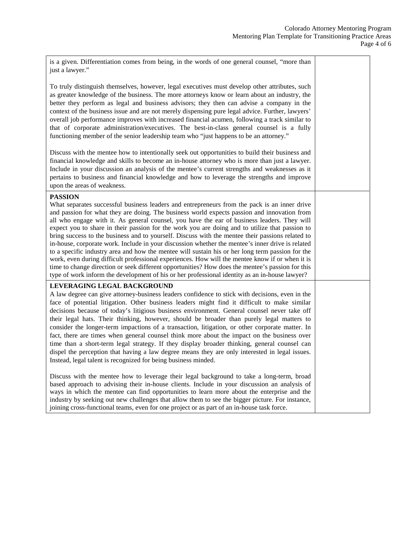| is a given. Differentiation comes from being, in the words of one general counsel, "more than<br>just a lawyer."                                                                                                                                                                                                                                                                                                                                                                                                                                                                                                                                                                                                                                                                                                                                                                                                                                                                                                                    |  |
|-------------------------------------------------------------------------------------------------------------------------------------------------------------------------------------------------------------------------------------------------------------------------------------------------------------------------------------------------------------------------------------------------------------------------------------------------------------------------------------------------------------------------------------------------------------------------------------------------------------------------------------------------------------------------------------------------------------------------------------------------------------------------------------------------------------------------------------------------------------------------------------------------------------------------------------------------------------------------------------------------------------------------------------|--|
| To truly distinguish themselves, however, legal executives must develop other attributes, such<br>as greater knowledge of the business. The more attorneys know or learn about an industry, the<br>better they perform as legal and business advisors; they then can advise a company in the<br>context of the business issue and are not merely dispensing pure legal advice. Further, lawyers'<br>overall job performance improves with increased financial acumen, following a track similar to<br>that of corporate administration/executives. The best-in-class general counsel is a fully<br>functioning member of the senior leadership team who "just happens to be an attorney."                                                                                                                                                                                                                                                                                                                                           |  |
| Discuss with the mentee how to intentionally seek out opportunities to build their business and<br>financial knowledge and skills to become an in-house attorney who is more than just a lawyer.<br>Include in your discussion an analysis of the mentee's current strengths and weaknesses as it<br>pertains to business and financial knowledge and how to leverage the strengths and improve<br>upon the areas of weakness.                                                                                                                                                                                                                                                                                                                                                                                                                                                                                                                                                                                                      |  |
| <b>PASSION</b><br>What separates successful business leaders and entrepreneurs from the pack is an inner drive<br>and passion for what they are doing. The business world expects passion and innovation from<br>all who engage with it. As general counsel, you have the ear of business leaders. They will<br>expect you to share in their passion for the work you are doing and to utilize that passion to<br>bring success to the business and to yourself. Discuss with the mentee their passions related to<br>in-house, corporate work. Include in your discussion whether the mentee's inner drive is related<br>to a specific industry area and how the mentee will sustain his or her long term passion for the<br>work, even during difficult professional experiences. How will the mentee know if or when it is<br>time to change direction or seek different opportunities? How does the mentee's passion for this<br>type of work inform the development of his or her professional identity as an in-house lawyer? |  |
| LEVERAGING LEGAL BACKGROUND<br>A law degree can give attorney-business leaders confidence to stick with decisions, even in the<br>face of potential litigation. Other business leaders might find it difficult to make similar<br>decisions because of today's litigious business environment. General counsel never take off<br>their legal hats. Their thinking, however, should be broader than purely legal matters to<br>consider the longer-term impactions of a transaction, litigation, or other corporate matter. In<br>fact, there are times when general counsel think more about the impact on the business over<br>time than a short-term legal strategy. If they display broader thinking, general counsel can<br>dispel the perception that having a law degree means they are only interested in legal issues.<br>Instead, legal talent is recognized for being business minded.                                                                                                                                    |  |
| Discuss with the mentee how to leverage their legal background to take a long-term, broad<br>based approach to advising their in-house clients. Include in your discussion an analysis of<br>ways in which the mentee can find opportunities to learn more about the enterprise and the<br>industry by seeking out new challenges that allow them to see the bigger picture. For instance,<br>joining cross-functional teams, even for one project or as part of an in-house task force.                                                                                                                                                                                                                                                                                                                                                                                                                                                                                                                                            |  |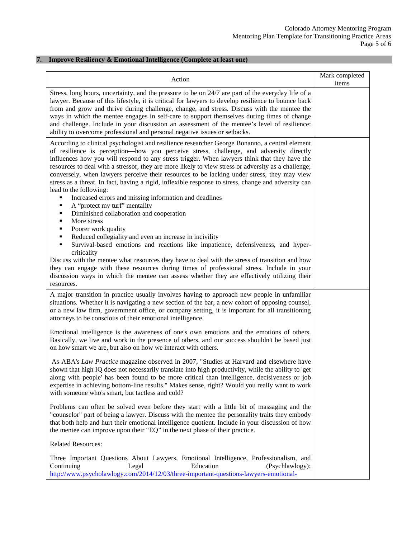### **7. Improve Resiliency & Emotional Intelligence (Complete at least one)**

| Action                                                                                                                                                                                                                                                                                                                                                                                                                                                                                                                                                                                                                           | Mark completed<br>items |
|----------------------------------------------------------------------------------------------------------------------------------------------------------------------------------------------------------------------------------------------------------------------------------------------------------------------------------------------------------------------------------------------------------------------------------------------------------------------------------------------------------------------------------------------------------------------------------------------------------------------------------|-------------------------|
| Stress, long hours, uncertainty, and the pressure to be on 24/7 are part of the everyday life of a<br>lawyer. Because of this lifestyle, it is critical for lawyers to develop resilience to bounce back<br>from and grow and thrive during challenge, change, and stress. Discuss with the mentee the<br>ways in which the mentee engages in self-care to support themselves during times of change<br>and challenge. Include in your discussion an assessment of the mentee's level of resilience:<br>ability to overcome professional and personal negative issues or setbacks.                                               |                         |
| According to clinical psychologist and resilience researcher George Bonanno, a central element<br>of resilience is perception—how you perceive stress, challenge, and adversity directly<br>influences how you will respond to any stress trigger. When lawyers think that they have the<br>resources to deal with a stressor, they are more likely to view stress or adversity as a challenge;<br>conversely, when lawyers perceive their resources to be lacking under stress, they may view<br>stress as a threat. In fact, having a rigid, inflexible response to stress, change and adversity can<br>lead to the following: |                         |
| Increased errors and missing information and deadlines                                                                                                                                                                                                                                                                                                                                                                                                                                                                                                                                                                           |                         |
| A "protect my turf" mentality<br>٠                                                                                                                                                                                                                                                                                                                                                                                                                                                                                                                                                                                               |                         |
| Diminished collaboration and cooperation<br>٠                                                                                                                                                                                                                                                                                                                                                                                                                                                                                                                                                                                    |                         |
| More stress<br>٠<br>Poorer work quality<br>٠                                                                                                                                                                                                                                                                                                                                                                                                                                                                                                                                                                                     |                         |
| Reduced collegiality and even an increase in incivility<br>٠                                                                                                                                                                                                                                                                                                                                                                                                                                                                                                                                                                     |                         |
| Survival-based emotions and reactions like impatience, defensiveness, and hyper-<br>criticality                                                                                                                                                                                                                                                                                                                                                                                                                                                                                                                                  |                         |
| Discuss with the mentee what resources they have to deal with the stress of transition and how<br>they can engage with these resources during times of professional stress. Include in your<br>discussion ways in which the mentee can assess whether they are effectively utilizing their<br>resources.                                                                                                                                                                                                                                                                                                                         |                         |
| A major transition in practice usually involves having to approach new people in unfamiliar<br>situations. Whether it is navigating a new section of the bar, a new cohort of opposing counsel,<br>or a new law firm, government office, or company setting, it is important for all transitioning<br>attorneys to be conscious of their emotional intelligence.                                                                                                                                                                                                                                                                 |                         |
| Emotional intelligence is the awareness of one's own emotions and the emotions of others.<br>Basically, we live and work in the presence of others, and our success shouldn't be based just<br>on how smart we are, but also on how we interact with others.                                                                                                                                                                                                                                                                                                                                                                     |                         |
| As ABA's Law Practice magazine observed in 2007, "Studies at Harvard and elsewhere have<br>shown that high IQ does not necessarily translate into high productivity, while the ability to 'get<br>along with people' has been found to be more critical than intelligence, decisiveness or job<br>expertise in achieving bottom-line results." Makes sense, right? Would you really want to work<br>with someone who's smart, but tactless and cold?                                                                                                                                                                             |                         |
| Problems can often be solved even before they start with a little bit of massaging and the<br>"counselor" part of being a lawyer. Discuss with the mentee the personality traits they embody<br>that both help and hurt their emotional intelligence quotient. Include in your discussion of how<br>the mentee can improve upon their "EQ" in the next phase of their practice.                                                                                                                                                                                                                                                  |                         |
| <b>Related Resources:</b>                                                                                                                                                                                                                                                                                                                                                                                                                                                                                                                                                                                                        |                         |
| Three Important Questions About Lawyers, Emotional Intelligence, Professionalism, and<br>Education<br>Continuing<br>Legal<br>(Psychlawlogy):<br>http://www.psycholawlogy.com/2014/12/03/three-important-questions-lawyers-emotional-                                                                                                                                                                                                                                                                                                                                                                                             |                         |